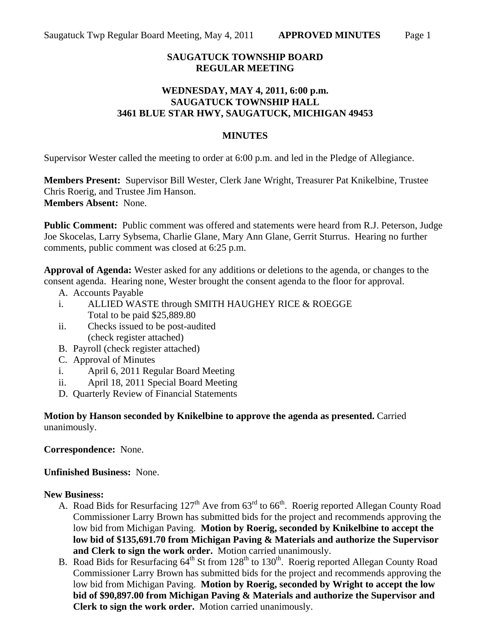# **SAUGATUCK TOWNSHIP BOARD REGULAR MEETING**

### **WEDNESDAY, MAY 4, 2011, 6:00 p.m. SAUGATUCK TOWNSHIP HALL 3461 BLUE STAR HWY, SAUGATUCK, MICHIGAN 49453**

### **MINUTES**

Supervisor Wester called the meeting to order at 6:00 p.m. and led in the Pledge of Allegiance.

**Members Present:** Supervisor Bill Wester, Clerk Jane Wright, Treasurer Pat Knikelbine, Trustee Chris Roerig, and Trustee Jim Hanson. **Members Absent:** None.

**Public Comment:** Public comment was offered and statements were heard from R.J. Peterson, Judge Joe Skocelas, Larry Sybsema, Charlie Glane, Mary Ann Glane, Gerrit Sturrus. Hearing no further comments, public comment was closed at 6:25 p.m.

**Approval of Agenda:** Wester asked for any additions or deletions to the agenda, or changes to the consent agenda. Hearing none, Wester brought the consent agenda to the floor for approval.

- A. Accounts Payable
- i. ALLIED WASTE through SMITH HAUGHEY RICE & ROEGGE Total to be paid \$25,889.80
- ii. Checks issued to be post-audited (check register attached)
- B. Payroll (check register attached)
- C. Approval of Minutes
- i. April 6, 2011 Regular Board Meeting
- ii. April 18, 2011 Special Board Meeting
- D. Quarterly Review of Financial Statements

**Motion by Hanson seconded by Knikelbine to approve the agenda as presented.** Carried unanimously.

**Correspondence:** None.

**Unfinished Business:** None.

#### **New Business:**

- A. Road Bids for Resurfacing  $127<sup>th</sup>$  Ave from  $63<sup>rd</sup>$  to  $66<sup>th</sup>$ . Roerig reported Allegan County Road Commissioner Larry Brown has submitted bids for the project and recommends approving the low bid from Michigan Paving. **Motion by Roerig, seconded by Knikelbine to accept the low bid of \$135,691.70 from Michigan Paving & Materials and authorize the Supervisor and Clerk to sign the work order.** Motion carried unanimously.
- B. Road Bids for Resurfacing  $64<sup>th</sup>$  St from 128<sup>th</sup> to 130<sup>th</sup>. Roerig reported Allegan County Road Commissioner Larry Brown has submitted bids for the project and recommends approving the low bid from Michigan Paving. **Motion by Roerig, seconded by Wright to accept the low bid of \$90,897.00 from Michigan Paving & Materials and authorize the Supervisor and Clerk to sign the work order.** Motion carried unanimously.